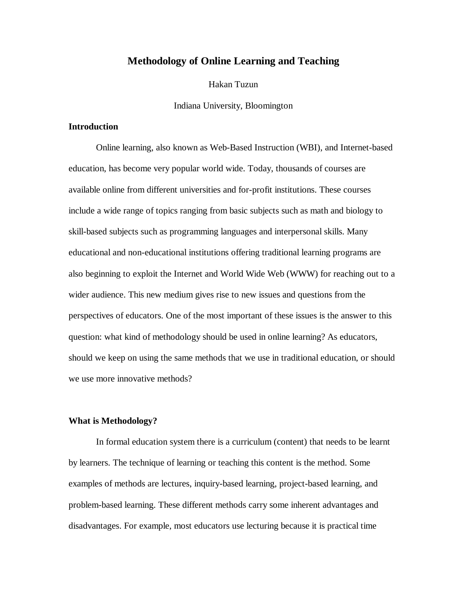## **Methodology of Online Learning and Teaching**

Hakan Tuzun

Indiana University, Bloomington

### **Introduction**

Online learning, also known as Web-Based Instruction (WBI), and Internet-based education, has become very popular world wide. Today, thousands of courses are available online from different universities and for-profit institutions. These courses include a wide range of topics ranging from basic subjects such as math and biology to skill-based subjects such as programming languages and interpersonal skills. Many educational and non-educational institutions offering traditional learning programs are also beginning to exploit the Internet and World Wide Web (WWW) for reaching out to a wider audience. This new medium gives rise to new issues and questions from the perspectives of educators. One of the most important of these issues is the answer to this question: what kind of methodology should be used in online learning? As educators, should we keep on using the same methods that we use in traditional education, or should we use more innovative methods?

### **What is Methodology?**

In formal education system there is a curriculum (content) that needs to be learnt by learners. The technique of learning or teaching this content is the method. Some examples of methods are lectures, inquiry-based learning, project-based learning, and problem-based learning. These different methods carry some inherent advantages and disadvantages. For example, most educators use lecturing because it is practical time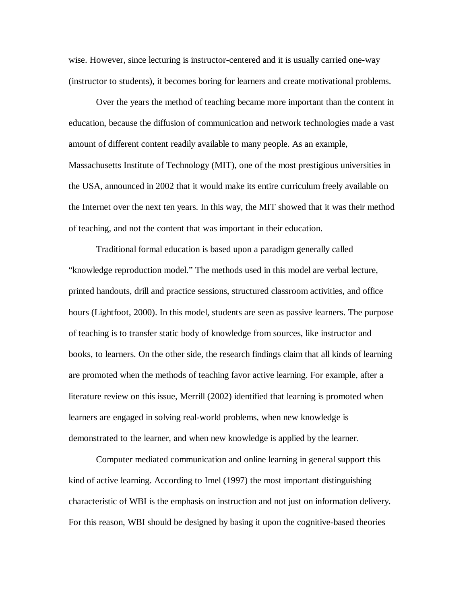wise. However, since lecturing is instructor-centered and it is usually carried one-way (instructor to students), it becomes boring for learners and create motivational problems.

Over the years the method of teaching became more important than the content in education, because the diffusion of communication and network technologies made a vast amount of different content readily available to many people. As an example, Massachusetts Institute of Technology (MIT), one of the most prestigious universities in the USA, announced in 2002 that it would make its entire curriculum freely available on the Internet over the next ten years. In this way, the MIT showed that it was their method of teaching, and not the content that was important in their education.

Traditional formal education is based upon a paradigm generally called "knowledge reproduction model." The methods used in this model are verbal lecture, printed handouts, drill and practice sessions, structured classroom activities, and office hours (Lightfoot, 2000). In this model, students are seen as passive learners. The purpose of teaching is to transfer static body of knowledge from sources, like instructor and books, to learners. On the other side, the research findings claim that all kinds of learning are promoted when the methods of teaching favor active learning. For example, after a literature review on this issue, Merrill (2002) identified that learning is promoted when learners are engaged in solving real-world problems, when new knowledge is demonstrated to the learner, and when new knowledge is applied by the learner.

Computer mediated communication and online learning in general support this kind of active learning. According to Imel (1997) the most important distinguishing characteristic of WBI is the emphasis on instruction and not just on information delivery. For this reason, WBI should be designed by basing it upon the cognitive-based theories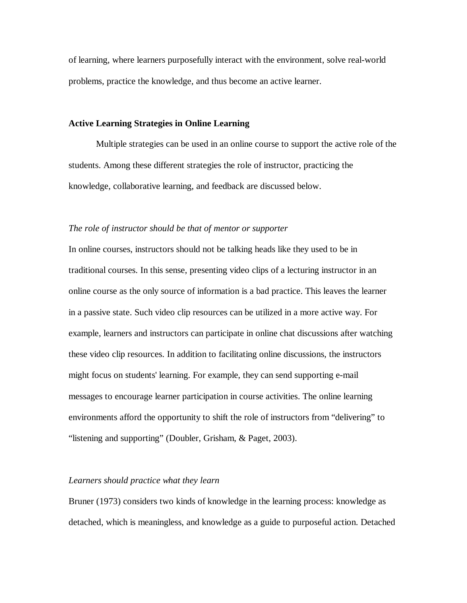of learning, where learners purposefully interact with the environment, solve real-world problems, practice the knowledge, and thus become an active learner.

### **Active Learning Strategies in Online Learning**

Multiple strategies can be used in an online course to support the active role of the students. Among these different strategies the role of instructor, practicing the knowledge, collaborative learning, and feedback are discussed below.

### *The role of instructor should be that of mentor or supporter*

In online courses, instructors should not be talking heads like they used to be in traditional courses. In this sense, presenting video clips of a lecturing instructor in an online course as the only source of information is a bad practice. This leaves the learner in a passive state. Such video clip resources can be utilized in a more active way. For example, learners and instructors can participate in online chat discussions after watching these video clip resources. In addition to facilitating online discussions, the instructors might focus on students' learning. For example, they can send supporting e-mail messages to encourage learner participation in course activities. The online learning environments afford the opportunity to shift the role of instructors from "delivering" to "listening and supporting" (Doubler, Grisham, & Paget, 2003).

### *Learners should practice what they learn*

Bruner (1973) considers two kinds of knowledge in the learning process: knowledge as detached, which is meaningless, and knowledge as a guide to purposeful action. Detached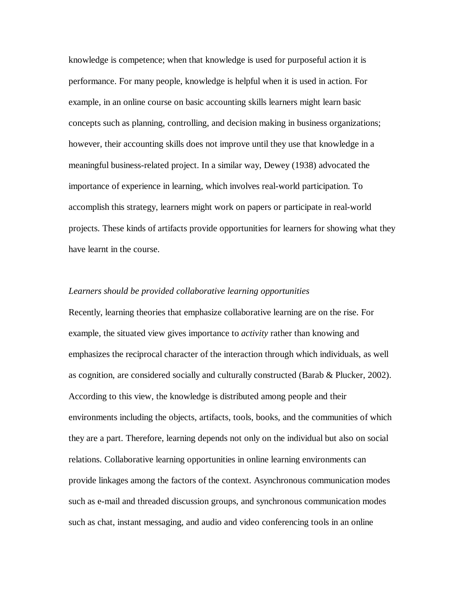knowledge is competence; when that knowledge is used for purposeful action it is performance. For many people, knowledge is helpful when it is used in action. For example, in an online course on basic accounting skills learners might learn basic concepts such as planning, controlling, and decision making in business organizations; however, their accounting skills does not improve until they use that knowledge in a meaningful business-related project. In a similar way, Dewey (1938) advocated the importance of experience in learning, which involves real-world participation. To accomplish this strategy, learners might work on papers or participate in real-world projects. These kinds of artifacts provide opportunities for learners for showing what they have learnt in the course.

#### *Learners should be provided collaborative learning opportunities*

Recently, learning theories that emphasize collaborative learning are on the rise. For example, the situated view gives importance to *activity* rather than knowing and emphasizes the reciprocal character of the interaction through which individuals, as well as cognition, are considered socially and culturally constructed (Barab & Plucker, 2002). According to this view, the knowledge is distributed among people and their environments including the objects, artifacts, tools, books, and the communities of which they are a part. Therefore, learning depends not only on the individual but also on social relations. Collaborative learning opportunities in online learning environments can provide linkages among the factors of the context. Asynchronous communication modes such as e-mail and threaded discussion groups, and synchronous communication modes such as chat, instant messaging, and audio and video conferencing tools in an online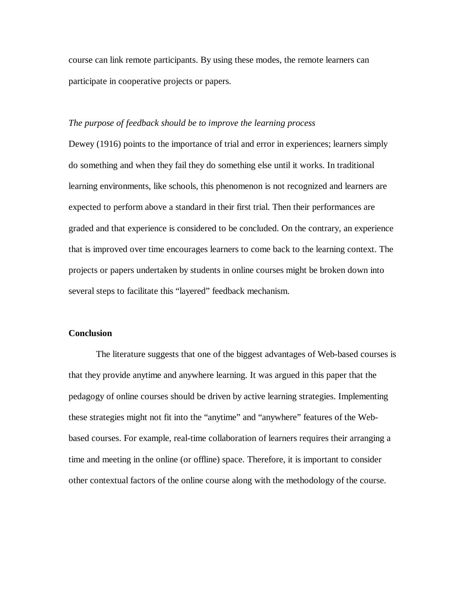course can link remote participants. By using these modes, the remote learners can participate in cooperative projects or papers.

### *The purpose of feedback should be to improve the learning process*

Dewey (1916) points to the importance of trial and error in experiences; learners simply do something and when they fail they do something else until it works. In traditional learning environments, like schools, this phenomenon is not recognized and learners are expected to perform above a standard in their first trial. Then their performances are graded and that experience is considered to be concluded. On the contrary, an experience that is improved over time encourages learners to come back to the learning context. The projects or papers undertaken by students in online courses might be broken down into several steps to facilitate this "layered" feedback mechanism.

### **Conclusion**

The literature suggests that one of the biggest advantages of Web-based courses is that they provide anytime and anywhere learning. It was argued in this paper that the pedagogy of online courses should be driven by active learning strategies. Implementing these strategies might not fit into the "anytime" and "anywhere" features of the Webbased courses. For example, real-time collaboration of learners requires their arranging a time and meeting in the online (or offline) space. Therefore, it is important to consider other contextual factors of the online course along with the methodology of the course.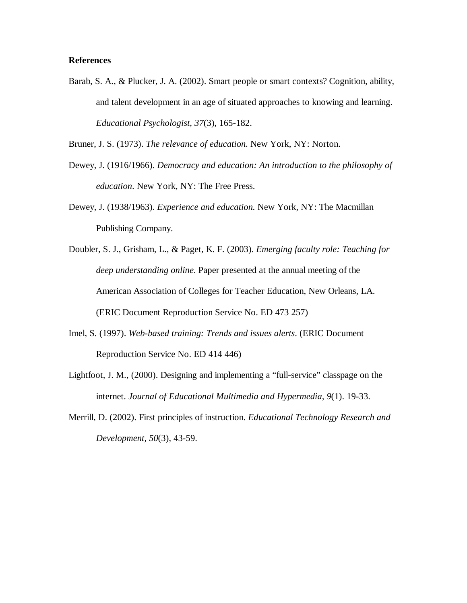### **References**

Barab, S. A., & Plucker, J. A. (2002). Smart people or smart contexts? Cognition, ability, and talent development in an age of situated approaches to knowing and learning. *Educational Psychologist, 37*(3), 165-182.

Bruner, J. S. (1973). *The relevance of education*. New York, NY: Norton.

- Dewey, J. (1916/1966). *Democracy and education: An introduction to the philosophy of education*. New York, NY: The Free Press.
- Dewey, J. (1938/1963). *Experience and education*. New York, NY: The Macmillan Publishing Company.
- Doubler, S. J., Grisham, L., & Paget, K. F. (2003). *Emerging faculty role: Teaching for deep understanding online*. Paper presented at the annual meeting of the American Association of Colleges for Teacher Education, New Orleans, LA. (ERIC Document Reproduction Service No. ED 473 257)
- Imel, S. (1997). *Web-based training: Trends and issues alerts*. (ERIC Document Reproduction Service No. ED 414 446)
- Lightfoot, J. M., (2000). Designing and implementing a "full-service" classpage on the internet. *Journal of Educational Multimedia and Hypermedia, 9*(1). 19-33.
- Merrill, D. (2002). First principles of instruction. *Educational Technology Research and Development, 50*(3), 43-59.